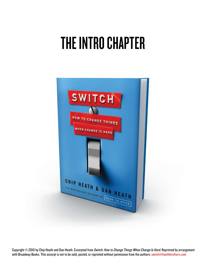# THE INTRO CHAPTER



Copyright © 2010 by Chip Heath and Dan Heath. Excerpted from Switch: How to Change Things When Change Is Hard. Reprinted by arrangement with Broadway Books. This excerpt is not to be sold, posted, or reprinted without permission from the authors: switch@heathbrothers.com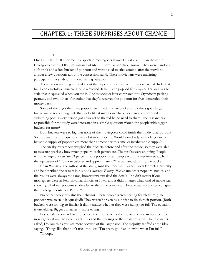# CHAPTER 1: THREE SURPRISES ABOUT CHANGE

1.

One Saturday in 2000, some unsuspecting moviegoers showed up at a suburban theater in Chicago to catch a 1:05 p.m. matinee of Mel Gibson's action flick *Payback.* They were handed a soft drink and a free bucket of popcorn and were asked to stick around after the movie to answer a few questions about the concession stand. These movie fans were unwitting participants in a study of irrational eating behavior.

There was something unusual about the popcorn they received. It was wretched. In fact, it had been carefully engineered to be wretched. It had been popped five days earlier and was so stale that it squeaked when you ate it. One moviegoer later compared it to Styrofoam packing peanuts, and two others, forgetting that they'd received the popcorn for free, demanded their money back.

Some of them got their free popcorn in a medium-size bucket, and others got a large bucket—the sort of huge tub that looks like it might once have been an above-ground swimming pool. Every person got a bucket so there'd be no need to share. The researchers responsible for the study were interested in a simple question: Would the people with bigger buckets eat more?

Both buckets were so big that none of the moviegoers could finish their individual portions. So the actual research question was a bit more specific: Would somebody with a larger inexhaustible supply of popcorn eat more than someone with a smaller inexhaustible supply?

The sneaky researchers weighed the buckets before and after the movie, so they were able to measure precisely how much popcorn each person ate. The results were stunning: People with the large buckets ate 53 percent more popcorn than people with the medium size. That's the equivalent of 173 more calories and approximately 21 extra hand-dips into the bucket.

Brian Wansink, the author of the study, runs the Food and Brand Lab at Cornell University, and he described the results in his book *Mindless Eating:* "We've run other popcorn studies, and the results were always the same, however we tweaked the details. It didn't matter if our moviegoers were in Pennsylvania, Illinois, or Iowa, and it didn't matter what kind of movie was showing; all of our popcorn studies led to the same conclusion. People eat more when you give them a bigger container. Period."

No other theory explains the behavior. These people weren't eating for pleasure. (The popcorn was so stale it squeaked!) They weren't driven by a desire to finish their portion. (Both buckets were too big to finish.) It didn't matter whether they were hungry or full. The equation is unyielding: Bigger container = more eating.

Best of all, people refused to believe the results. After the movie, the researchers told the moviegoers about the two bucket sizes and the findings of their past research. The researchers asked, Do you think you ate more because of the larger size? The majority scoffed at the idea, saying, "Things like that don't trick me," or, "I'm pretty good at knowing when I'm full."

Whoops.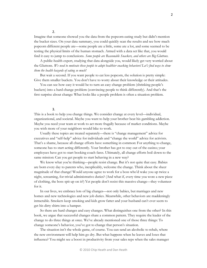2.

Imagine that someone showed you the data from the popcorn-eating study but didn't mention the bucket sizes. On your data summary, you could quickly scan the results and see how much popcorn different people ate—some people ate a little, some ate a lot, and some seemed to be testing the physical limits of the human stomach. Armed with a data set like that, you would find it easy to jump to conclusions. *Some people are Reasonable Snackers, and others are Big Gluttons.* 

A public-health expert, studying that data alongside you, would likely get very worried about the Gluttons. *We need to motivate these people to adopt healthier snacking behaviors! Let's find ways to show them the health hazards of eating so much!* 

But wait a second. If you want people to eat less popcorn, the solution is pretty simple: Give them smaller buckets. You don't have to worry about their knowledge or their attitudes.

You can see how easy it would be to turn an easy change problem (shrinking people's buckets) into a hard change problem (convincing people to think differently). And that's the first surprise about change: What looks like a people problem is often a situation problem.

3.

This is a book to help you change things. We consider change at every level—individual, organizational, and societal. Maybe you want to help your brother beat his gambling addiction. Maybe you need your team at work to act more frugally because of market conditions. Maybe you wish more of your neighbors would bike to work.

Usually these topics are treated separately—there is "change management" advice for executives and "self-help" advice for individuals and "change the world" advice for activists. That's a shame, because all change efforts have something in common: For anything to change, someone has to start acting differently. Your brother has got to stay out of the casino; your employees have got to start booking coach fares. Ultimately, all change efforts boil down to the same mission: Can you get people to start behaving in a new way?

We know what you're thinking—people resist change. But it's not quite that easy. Babies are born every day to parents who, inexplicably, welcome the change. Think about the sheer magnitude of that change! Would anyone agree to work for a boss who'd wake you up twice a night, screaming, for trivial administrative duties? (And what if, every time you wore a new piece of clothing, the boss spit up on it?) Yet people don't resist this massive change—they volunteer for it.

In our lives, we embrace lots of big changes—not only babies, but marriages and new homes and new technologies and new job duties. Meanwhile, other behaviors are maddeningly intractable. Smokers keep smoking and kids grow fatter and your husband can't ever seem to get his dirty shirts into a hamper.

So there are hard changes and easy changes. What distinguishes one from the other? In this book, we argue that successful changes share a common pattern. They require the leader of the change to do three things at once. We've already mentioned one of those three things: To change someone's behavior, you've got to change that person's situation.

The situation isn't the whole game, of course. You can send an alcoholic to rehab, where the new environment will help him go dry. But what happens when he leaves and loses that influence? You might see a boost in productivity from your sales reps when the sales manager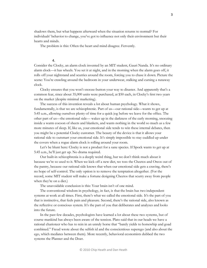shadows them, but what happens afterward when the situation returns to normal? For individuals' behavior to change, you've got to influence not only their environment but their hearts and minds.

The problem is this: Often the heart and mind disagree. Fervently.

#### 4.

Consider the Clocky, an alarm clock invented by an MIT student, Gauri Nanda. It's no ordinary alarm clock—it has wheels. You set it at night, and in the morning when the alarm goes off, it rolls off your nightstand and scurries around the room, forcing you to chase it down. Picture the scene: You're crawling around the bedroom in your underwear, stalking and cursing a runaway clock.

Clocky ensures that you won't snooze-button your way to disaster. And apparently that's a common fear, since about 35,000 units were purchased, at \$50 each, in Clocky's first two years on the market (despite minimal marketing).

The success of this invention reveals a lot about human psychology. What it shows, fundamentally, is that we are schizophrenic. Part of us—our rational side—wants to get up at 5:45 a.m., allowing ourselves plenty of time for a quick jog before we leave for the office. The other part of us—the emotional side— wakes up in the darkness of the early morning, snoozing inside a warm cocoon of sheets and blankets, and wants nothing in the world so much as a few more minutes of sleep. If, like us, your emotional side tends to win these internal debates, then you might be a potential Clocky customer. The beauty of the device is that it allows your rational side to outsmart your emotional side. It's simply impossible to stay cuddled up under the covers when a rogue alarm clock is rolling around your room.

Let's be blunt here: Clocky is not a product for a sane species. If Spock wants to get up at 5:45 a.m., he'll just get up. No drama required.

Our built-in schizophrenia is a deeply weird thing, but we don't think much about it because we're so used to it. When we kick off a new diet, we toss the Cheetos and Oreos out of the pantry, because our rational side knows that when our emotional side gets a craving, there's no hope of self-control. The only option is to remove the temptation altogether. (For the record, some MIT student will make a fortune designing Cheetos that scurry away from people when they're on a diet.)

The unavoidable conclusion is this: Your brain isn't of one mind.

The conventional wisdom in psychology, in fact, is that the brain has two independent systems at work at all times. First, there's what we called the emotional side. It's the part of you that is instinctive, that feels pain and pleasure. Second, there's the rational side, also known as the reflective or conscious system. It's the part of you that deliberates and analyzes and looks into the future.

In the past few decades, psychologists have learned a lot about these two systems, but of course mankind has always been aware of the tension. Plato said that in our heads we have a rational charioteer who has to rein in an unruly horse that "barely yields to horsewhip and goad combined." Freud wrote about the selfish id and the conscientious superego (and also about the ego, which mediates between them). More recently, behavioral economists dubbed the two systems the Planner and the Doer.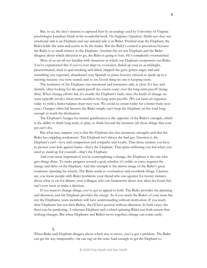But, to us, the duo's tension is captured best by an analogy used by University of Virginia psychologist Jonathan Haidt in his wonderful book *The Happiness Hypothesis.* Haidt says that our emotional side is an Elephant and our rational side is its Rider. Perched atop the Elephant, the Rider holds the reins and seems to be the leader. But the Rider's control is precarious because the Rider is so small relative to the Elephant. Anytime the six-ton Elephant and the Rider disagree about which direction to go, the Rider is going to lose. He's completely overmatched.

Most of us are all too familiar with situations in which our Elephant overpowers our Rider. You've experienced this if you've ever slept in, overeaten, dialed up your ex at midnight, procrastinated, tried to quit smoking and failed, skipped the gym, gotten angry and said something you regretted, abandoned your Spanish or piano lessons, refused to speak up in a meeting because you were scared, and so on. Good thing no one is keeping score.

The weakness of the Elephant, our emotional and instinctive side, is clear: It's lazy and skittish, often looking for the quick payoff (ice cream cone) over the long-term payoff (being thin). When change efforts fail, it's usually the Elephant's fault, since the kinds of change we want typically involve short-term sacrifices for long-term payoffs. (We cut back on expenses today to yield a better balance sheet next year. We avoid ice cream today for a better body next year.) Changes often fail because the Rider simply can't keep the Elephant on the road long enough to reach the destination.

The Elephant's hunger for instant gratification is the opposite of the Rider's strength, which is the ability to think long-term, to plan, to think beyond the moment (all those things that your pet can't do).

But what may surprise you is that the Elephant also has enormous strengths and that the Rider has crippling weaknesses. The Elephant isn't always the bad guy. Emotion is the Elephant's turf—love and compassion and sympathy and loyalty. That fierce instinct you have to protect your kids against harm—that's the Elephant. That spine-stiffening you feel when you need to stand up for yourself—that's the Elephant.

And even more important if you're contemplating a change, the Elephant is the one who gets things done. To make progress toward a goal, whether it's noble or crass, requires the energy and drive of the Elephant. And this strength is the mirror image of the Rider's great weakness: spinning his wheels. The Rider tends to overanalyze and overthink things. Chances are, you know people with Rider problems: your friend who can agonize for twenty minutes about what to eat for dinner; your colleague who can brainstorm about new ideas for hours but can't ever seem to make a decision.

If you want to change things, you've got to appeal to both. The Rider provides the planning and direction, and the Elephant provides the energy. So if you reach the Riders of your team but not the Elephants, team members will have understanding without motivation. If you reach their Elephants but not their Riders, they'll have passion without direction. In both cases, the flaws can be paralyzing. A reluctant Elephant and a wheel-spinning Rider can both ensure that nothing changes. But when Elephants and Riders move together, change can come easily.

#### 5.

When Rider and Elephant disagree about which way to move, you've got a problem. The Rider can get his way temporarily—he can tug on the reins hard enough to get the Elephant to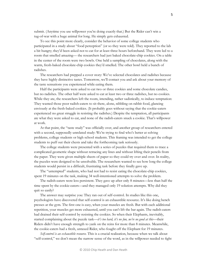submit. (Anytime you use willpower you're doing exactly that.) But the Rider can't win a tug-of-war with a huge animal for long. He simply gets exhausted.

To see this point more clearly, consider the behavior of some college students who participated in a study about "food perception" (or so they were told). They reported to the lab a bit hungry; they'd been asked not to eat for at least three hours beforehand. They were led to a room that smelled amazing— the researchers had just baked chocolate-chip cookies. On a table in the center of the room were two bowls. One held a sampling of chocolates, along with the warm, fresh-baked chocolate-chip cookies they'd smelled. The other bowl held a bunch of radishes.

The researchers had prepped a cover story: We've selected chocolates and radishes because they have highly distinctive tastes. Tomorrow, we'll contact you and ask about your memory of the taste sensations you experienced while eating them.

Half the participants were asked to eat two or three cookies and some chocolate candies, but no radishes. The other half were asked to eat at least two or three radishes, but no cookies. While they ate, the researchers left the room, intending, rather sadistically, to induce temptation: They wanted those poor radish-eaters to sit there, alone, nibbling on rabbit food, glancing enviously at the fresh-baked cookies. (It probably goes without saying that the cookie-eaters experienced no great struggle in resisting the radishes.) Despite the temptation, all participants ate what they were asked to eat, and none of the radish-eaters snuck a cookie. That's willpower at work.

At that point, the "taste study" was officially over, and another group of researchers entered with a second, supposedly unrelated study: We're trying to find who's better at solving problems, college students or high school students. This framing was intended to get the college students to puff out their chests and take the forthcoming task seriously.

The college students were presented with a series of puzzles that required them to trace a complicated geometric shape without retracing any lines and without lifting their pencils from the paper. They were given multiple sheets of paper so they could try over and over. In reality, the puzzles were designed to be unsolvable. The researchers wanted to see how long the college students would persist in a difficult, frustrating task before they finally gave up.

The "untempted" students, who had not had to resist eating the chocolate-chip cookies, spent 19 minutes on the task, making 34 well-intentioned attempts to solve the problem.

The radish-eaters were less persistent. They gave up after only 8 minutes—less than half the time spent by the cookie-eaters—and they managed only 19 solution attempts. Why did they quit so easily?

The answer may surprise you: They ran out of self-control. In studies like this one, psychologists have discovered that self-control is an exhaustible resource. It's like doing bench presses at the gym. The first one is easy, when your muscles are fresh. But with each additional repetition, your muscles get more exhausted, until you can't lift the bar again. The radish-eaters had drained their self-control by resisting the cookies. So when their Elephants, inevitably, started complaining about the puzzle task—*it's too hard, it's no fun, we're no good at this*—their Riders didn't have enough strength to yank on the reins for more than 8 minutes. Meanwhile, the cookie-eaters had a fresh, untaxed Rider, who fought off the Elephant for 19 minutes.

*Self-control is an exhaustible resource.* This is a crucial realization, because when we talk about "self-control," we don't mean the narrow sense of the word, as in the willpower needed to fight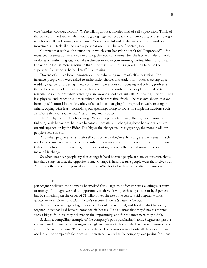vice (smokes, cookies, alcohol). We're talking about a broader kind of self-supervision. Think of the way your mind works when you're giving negative feedback to an employee, or assembling a new bookshelf, or learning a new dance. You are careful and deliberate with your words or movements. It feels like there's a supervisor on duty. That's self-control, too.

Contrast that with all the situations in which your behavior doesn't feel "supervised"—for instance, the sensation while you're driving that you can't remember the last few miles of road, or the easy, unthinking way you take a shower or make your morning coffee. Much of our daily behavior, in fact, is more automatic than supervised, and that's a good thing because the supervised behavior is the hard stuff. It's draining.

Dozens of studies have demonstrated the exhausting nature of self-supervision. For instance, people who were asked to make tricky choices and trade-offs—such as setting up a wedding registry or ordering a new computer—were worse at focusing and solving problems than others who hadn't made the tough choices. In one study, some people were asked to restrain their emotions while watching a sad movie about sick animals. Afterward, they exhibited less physical endurance than others who'd let the tears flow freely. The research shows that we burn up self-control in a wide variety of situations: managing the impression we're making on others; coping with fears; controlling our spending; trying to focus on simple instructions such as "Don't think of a white bear"; and many, many others.

Here's why this matters for change: When people try to change things, they're usually tinkering with behaviors that have become automatic, and changing those behaviors requires careful supervision by the Rider. The bigger the change you're suggesting, the more it will sap people's self-control.

And when people exhaust their self-control, what they're exhausting are the mental muscles needed to think creatively, to focus, to inhibit their impulses, and to persist in the face of frustration or failure. In other words, they're exhausting precisely the mental muscles needed to make a big change.

So when you hear people say that change is hard because people are lazy or resistant, that's just flat wrong. In fact, the opposite is true: Change is hard because people wear themselves out. And that's the second surprise about change: What looks like laziness is often exhaustion.

### 6.

Jon Stegner believed the company he worked for, a large manufacturer, was wasting vast sums of money. "I thought we had an opportunity to drive down purchasing costs not by 2 percent but by something on the order of \$1 billion over the next five years," said Stegner, who is quoted in John Kotter and Dan Cohen's essential book *The Heart of Change.* 

To reap these savings, a big process shift would be required, and for that shift to occur, Stegner knew that he'd have to convince his bosses. He also knew that they'd never embrace such a big shift unless they believed in the opportunity, and for the most part, they didn't.

Seeking a compelling example of the company's poor purchasing habits, Stegner assigned a summer student intern to investigate a single item—work gloves, which workers in most of the company's factories wore. The student embarked on a mission to identify all the types of gloves used in all the company's factories and then trace back what the company was paying for them.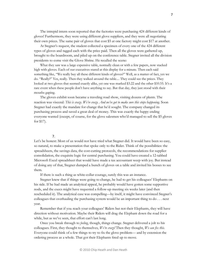The intrepid intern soon reported that the factories were purchasing 424 different kinds of gloves! Furthermore, they were using different glove suppliers, and they were all negotiating their own prices. The same pair of gloves that cost \$5 at one factory might cost \$17 at another.

At Stegner's request, the student collected a specimen of every one of the 424 different types of gloves and tagged each with the price paid. Then all the gloves were gathered up, brought to the boardroom, and piled up on the conference table. Stegner invited all the division presidents to come visit the Glove Shrine. He recalled the scene:

What they saw was a large expensive table, normally clean or with a few papers, now stacked high with gloves. Each of our executives stared at this display for a minute. Then each said something like, "We really buy all these different kinds of gloves?" Well, as a matter of fact, yes we do. "Really?" Yes, really. Then they walked around the table.... They could see the prices. They looked at two gloves that seemed exactly alike, yet one was marked \$3.22 and the other \$10.55. It's a rare event when these people don't have anything to say. But that day, they just stood with their mouths gaping.

The gloves exhibit soon became a traveling road show, visiting dozens of plants. The reaction was visceral: *This is crazy. We're crazy. And we've got to make sure this stops happening.* Soon Stegner had exactly the mandate for change that he'd sought. The company changed its purchasing process and saved a great deal of money. This was exactly the happy ending everyone wanted (except, of course, for the glove salesmen who'd managed to sell the \$5 gloves for \$17).

### 7.

Let's be honest: Most of us would not have tried what Stegner did. It would have been so easy, so natural, to make a presentation that spoke only to the Rider. Think of the possibilities: the spreadsheets, the savings data, the cost-cutting protocols, the recommendations for supplier consolidation, the exquisite logic for central purchasing. You could have created a 12-tabbed Microsoft Excel spreadsheet that would have made a tax accountant weep with joy. But instead of doing any of that, Stegner dumped a bunch of gloves on a table and invited his bosses to see them.

If there is such a thing as white-collar courage, surely this was an instance.

Stegner knew that if things were going to change, he had to get his colleagues' Elephants on his side. If he had made an analytical appeal, he probably would have gotten some supportive nods, and the execs might have requested a follow-up meeting six weeks later (and then rescheduled it). The analytical case was compelling—by itself, it might have convinced Stegner's colleagues that overhauling the purchasing system would be an important thing to do . . . next year.

Remember that if you reach your colleagues' Riders but not their Elephants, they will have direction without motivation. Maybe their Riders will drag the Elephant down the road for a while, but as we've seen, that effort can't last long.

Once you break through to *feeling*, though, things change. Stegner delivered a jolt to his colleagues. First, they thought to themselves, *We're crazy!* Then they thought, *We can fix this.*  Everyone could think of a few things to try to fix the glove problem— and by extension the ordering process as a whole. That got their Elephants fired up to move.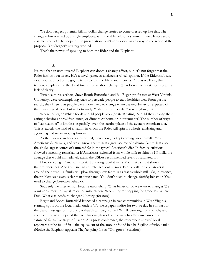We don't expect potential billion-dollar change stories to come dressed up like this. The change effort was led by a single employee, with the able help of a summer intern. It focused on a single product. The scope of the presentation didn't correspond in any way to the scope of the proposal. Yet Stegner's strategy worked.

That's the power of speaking to both the Rider and the Elephant.

### 8.

It's true that an unmotivated Elephant can doom a change effort, but let's not forget that the Rider has his own issues. He's a navel-gazer, an analyzer, a wheel-spinner. If the Rider isn't sure exactly what direction to go, he tends to lead the Elephant in circles. And as we'll see, that tendency explains the third and final surprise about change: What looks like resistance is often a lack of clarity.

Two health researchers, Steve Booth-Butterfield and Bill Reger, professors at West Virginia University, were contemplating ways to persuade people to eat a healthier diet. From past research, they knew that people were more likely to change when the new behavior expected of them was crystal clear, but unfortunately, "eating a healthier diet" was anything but.

Where to begin? Which foods should people stop (or start) eating? Should they change their eating behavior at breakfast, lunch, or dinner? At home or in restaurants? The number of ways to "eat healthier" is limitless, especially given the starting place of the average American diet. This is exactly the kind of situation in which the Rider will spin his wheels, analyzing and agonizing and never moving forward.

As the two researchers brainstormed, their thoughts kept coming back to milk. Most Americans drink milk, and we all know that milk is a great source of calcium. But milk is also the single largest source of saturated fat in the typical American's diet. In fact, calculations showed something remarkable: If Americans switched from whole milk to skim or 1% milk, the average diet would immediately attain the USDA recommended levels of saturated fat.

How do you get Americans to start drinking low-fat milk? You make sure it shows up in their refrigerators. And that isn't an entirely facetious answer. People will drink whatever is around the house—a family will plow through low-fat milk as fast as whole milk. So, in essence, the problem was even easier than anticipated: You don't need to change *drinking* behavior. You need to change *purchasing* behavior.

Suddenly the intervention became razor-sharp. What behavior do we want to change? We want consumers to buy skim or 1% milk. When? When they're shopping for groceries. Where? Duh. What else needs to change? Nothing (for now).

Reger and Booth-Butterfield launched a campaign in two communities in West Virginia, running spots on the local media outlets (TV, newspaper, radio) for two weeks. In contrast to the bland messages of most public-health campaigns, the 1% milk campaign was punchy and specific. One ad trumpeted the fact that one glass of whole milk has the same amount of saturated fat as five strips of bacon! At a press conference, the researchers showed local reporters a tube full of fat—the equivalent of the amount found in a half-gallon of whole milk. (Notice the Elephant appeals: They're going for an "Oh, gross!" reaction.)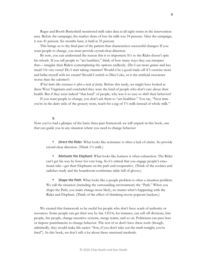Reger and Booth-Butterfield monitored milk sales data at all eight stores in the intervention area. Before the campaign, the market share of low-fat milk was 18 percent. After the campaign, it was 41 percent. Six months later, it held at 35 percent.

This brings us to the final part of the pattern that characterizes successful changes: If you want people to change, you must provide crystal-clear direction.

By now, you can understand the reason this is so important: It's so the Rider doesn't spin his wheels. If you tell people to "act healthier," think of how many ways they can interpret that— imagine their Riders contemplating the options endlessly. (Do I eat more grains and less meat? Or vice versa? Do I start taking vitamins? Would it be a good trade-off if I exercise more and bribe myself with ice cream? Should I switch to Diet Coke, or is the artificial sweetener worse than the calories?)

*What looks like resistance is often a lack of clarity*. Before this study, we might have looked at these West Virginians and concluded they were the kind of people who don't care about their health. But if they were indeed "that kind" of people, why was it so easy to shift their behavior?

If you want people to change, you don't ask them to "act healthier." You say, "Next time you're in the dairy aisle of the grocery store, reach for a jug of 1% milk instead of whole milk."

## 9.

Now you've had a glimpse of the basic three-part framework we will unpack in this book, one that can guide you in any situation where you need to change behavior:

• *Direct the Rider.* What looks like resistance is often a lack of clarity. So provide crystal-clear direction. (Think 1% milk.)

• *Motivate the Elephant.* What looks like laziness is often exhaustion. The Rider can't get his way by force for very long. So it's critical that you engage people's emotional side—get their Elephants on the path and cooperative. (Think of the cookies and radishes study and the boardroom conference table full of gloves.)

• *Shape the Path.* What looks like a people problem is often a situation problem. We call the situation (including the surrounding environment) the "Path." When you shape the Path, you make change more likely, no matter what's happening with the Rider and Elephant. (Think of the effect of shrinking movie popcorn buckets.)

We created this framework to be useful for people who don't have scads of authority or resources. Some people can get their way by fiat. CEOs, for instance, can sell off divisions, hire people, fire people, change incentive systems, merge teams, and so on. Politicians can pass laws or impose punishments to change behavior. The rest of us don't have these tools (though, admittedly, they would make life easier: "Son, if you don't take out the trash tonight, you're fired"). In this book, we don't talk a lot about these structural methods.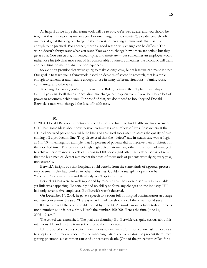As helpful as we hope this framework will be to you, we're well aware, and you should be, too, that this framework is no panacea. For one thing, it's incomplete. We've deliberately left out lots of great thinking on change in the interests of creating a framework that's simple enough to be practical. For another, there's a good reason why change can be difficult: The world doesn't always want what you want. You want to change how others are acting, but they get a vote. You can cajole, influence, inspire, and motivate— but sometimes an employee would rather lose his job than move out of his comfortable routines. Sometimes the alcoholic will want another drink no matter what the consequences.

So we don't promise that we're going to make change easy, but at least we can make it *easier.*  Our goal is to teach you a framework, based on decades of scientific research, that is simple enough to remember and flexible enough to use in many different situations—family, work, community, and otherwise.

To change behavior, you've got to direct the Rider, motivate the Elephant, and shape the Path. If you can do all three at once, dramatic change can happen even if you don't have lots of power or resources behind you. For proof of that, we don't need to look beyond Donald Berwick, a man who changed the face of health care.

### 10.

In 2004, Donald Berwick, a doctor and the CEO of the Institute for Healthcare Improvement (IHI), had some ideas about how to save lives—massive numbers of lives. Researchers at the IHI had analyzed patient care with the kinds of analytical tools used to assess the quality of cars coming off a production line. They discovered that the "defect" rate in health care was as high as 1 in 10—meaning, for example, that 10 percent of patients did not receive their antibiotics in the specified time. This was a shockingly high defect rate—many other industries had managed to achieve performance at levels of 1 error in 1,000 cases (and often far better). Berwick knew that the high medical defect rate meant that tens of thousands of patients were dying every year, unnecessarily.

Berwick's insight was that hospitals could benefit from the same kinds of rigorous process improvements that had worked in other industries. Couldn't a transplant operation be "produced" as consistently and flawlessly as a Toyota Camry?

Berwick's ideas were so well supported by research that they were essentially indisputable, yet little was happening. He certainly had no ability to force any changes on the industry. IHI had only seventy-five employees. But Berwick wasn't deterred.

On December 14, 2004, he gave a speech to a room full of hospital administrators at a large industry convention. He said, "Here is what I think we should do. I think we should save 100,000 lives. And I think we should do that by June 14, 2006—18 months from today. Some is not a number; soon is not a time. Here's the number: 100,000. Here's the time: June 14, 2006—9 a.m."

The crowd was astonished. The goal was daunting. But Berwick was quite serious about his intentions. He and his tiny team set out to do the impossible.

IHI proposed six very specific interventions to save lives. For instance, one asked hospitals to adopt a set of proven procedures for managing patients on ventilators, to prevent them from getting pneumonia, a common cause of unnecessary death. (One of the procedures called for a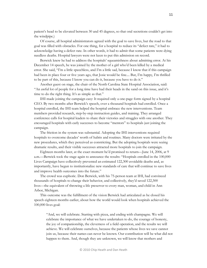patient's head to be elevated between 30 and 45 degrees, so that oral secretions couldn't get into the windpipe.)

Of course, all hospital administrators agreed with the goal to save lives, but the road to that goal was filled with obstacles. For one thing, for a hospital to reduce its "defect rate," it had to acknowledge having a defect rate. In other words, it had to admit that some patients were dying needless deaths. Hospital lawyers were not keen to put this admission on record.

Berwick knew he had to address the hospitals' squeamishness about admitting error. At his December 14 speech, he was joined by the mother of a girl who'd been killed by a medical error. She said, "I'm a little speechless, and I'm a little sad, because I know that if this campaign had been in place four or five years ago, that Josie would be fine.... But, I'm happy, I'm thrilled to be part of this, because I know you can do it, because you have to do it."

Another guest on stage, the chair of the North Carolina State Hospital Association, said: "An awful lot of people for a long time have had their heads in the sand on this issue, and it's time to do the right thing. It's as simple as that."

IHI made joining the campaign easy: It required only a one-page form signed by a hospital CEO. By two months after Berwick's speech, over a thousand hospitals had enrolled. Once a hospital enrolled, the IHI team helped the hospital embrace the new interventions. Team members provided research, step-by-step instruction guides, and training. They arranged conference calls for hospital leaders to share their victories and struggles with one another. They encouraged hospitals with early successes to become "mentors" to hospitals just joining the campaign.

The friction in the system was substantial. Adopting the IHI interventions required hospitals to overcome decades' worth of habits and routines. Many doctors were irritated by the new procedures, which they perceived as constricting. But the adopting hospitals were seeing dramatic results, and their visible successes attracted more hospitals to join the campaign.

Eighteen months later, at the exact moment he'd promised to return—June 14, 2006, at 9 a.m.—Berwick took the stage again to announce the results: "Hospitals enrolled in the 100,000 Lives Campaign have collectively prevented an estimated 122,300 avoidable deaths and, as importantly, have begun to institutionalize new standards of care that will continue to save lives and improve health outcomes into the future."

The crowd was euphoric. Don Berwick, with his 75-person team at IHI, had convinced thousands of hospitals to change their behavior, and collectively, they'd saved 122,300 lives—the equivalent of throwing a life preserver to every man, woman, and child in Ann Arbor, Michigan.

This outcome was the fulfillment of the vision Berwick had articulated as he closed his speech eighteen months earlier, about how the world would look when hospitals achieved the 100,000 lives goal:

"And, we will celebrate. Starting with pizza, and ending with champagne. We will celebrate the importance of what we have undertaken to do, the courage of honesty, the joy of companionship, the cleverness of a field operation, and the results we will achieve. We will celebrate ourselves, because the patients whose lives we save cannot join us, because their names can never be known. Our contribution will be what did not happen to them. And, though they are unknown, we will know that mothers and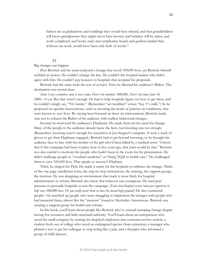fathers are at graduations and weddings they would have missed, and that grandchildren will know grandparents they might never have known, and holidays will be taken, and work completed, and books read, and symphonies heard, and gardens tended that, without our work, would have been only beds of weeds."

#### 11.

Big changes can happen.

Don Berwick and his team catalyzed a change that saved 100,000 lives, yet Berwick himself wielded no power. He couldn't change the law. He couldn't fire hospital leaders who didn't agree with him. He couldn't pay bonuses to hospitals that accepted his proposals.

Berwick had the same tools the rest of us have. First, he directed his audience's Riders. The destination was crystal clear:

*Some is not a number; soon is not a time. Here's the number: 100,000. Here's the time: June 14, 2006—9 a.m.* But that wasn't enough. He had to help hospitals figure out how to get there, and he couldn't simply say, "Try harder." (Remember "act healthier" versus "buy 1% milk.") So he proposed six specific interventions, such as elevating the heads of patients on ventilators, that were known to save lives. By staying laser-focused on these six interventions, Berwick made sure not to exhaust the Riders of his audience with endless behavioral changes.

Second, he motivated his audience's Elephants. He made them *feel* the need for change. Many of the people in the audience already knew the facts, but knowing was not enough. (Remember, knowing wasn't enough for executives at Jon Stegner's company. It took a stack of gloves to get their Elephants engaged.) Berwick had to get beyond knowing, so he brought his audience face-to-face with the mother of the girl who'd been killed by a medical error: "I know that if this campaign had been in place four or five years ago, that Josie would be fine." Berwick was also careful to motivate the people who hadn't been in the room for his presentation. He didn't challenge people to "overhaul medicine" or "bring TQM to health care." He challenged them to save 100,000 lives. That speaks to anyone's Elephant.

Third, he shaped the Path. He made it easier for the hospitals to embrace the change. Think of the one-page enrollment form, the step-by-step instructions, the training, the support groups, the mentors. He was designing an environment that made it more likely for hospital administrators to reform. Berwick also knew that behavior was contagious. He used peer pressure to persuade hospitals to join the campaign. *(Your rival hospital across town just signed on to help save 100,000 lives. Do you really want them to have the moral high ground?)* He also connected people—he matched up people who were struggling to implement the changes with people who had mastered them, almost like the "mentors" found in Alcoholics Anonymous. Berwick was creating a support group for health care reform.

In this book, you'll learn about people like Berwick who've created sweeping change despite having few resources and little structural authority. You'll learn about an entrepreneur who saved his small company by turning his skeptical employees into customer-service zealots; a student fresh out of college who saved an endangered species from extinction; a manager who plotted a way to get his colleague to stop acting like a jerk; and a therapist who reformed a group of child abusers.